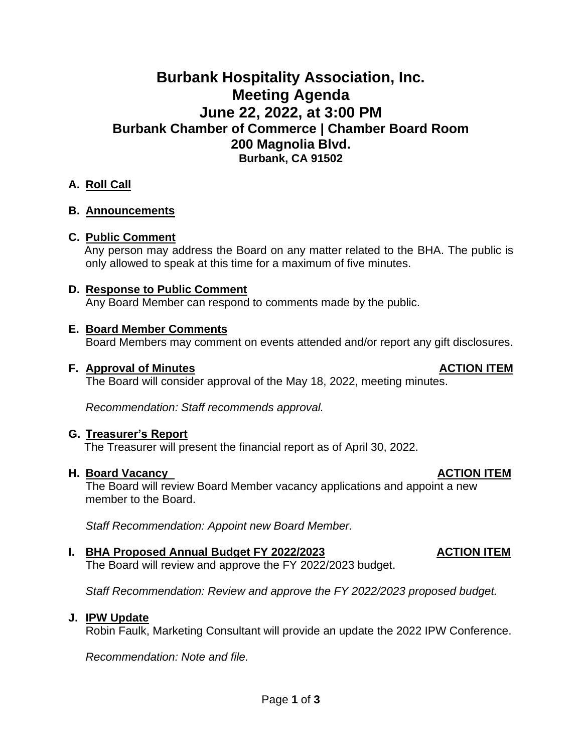# **Burbank Hospitality Association, Inc. Meeting Agenda June 22, 2022, at 3:00 PM Burbank Chamber of Commerce | Chamber Board Room 200 Magnolia Blvd. Burbank, CA 91502**

# **A. Roll Call**

### **B. Announcements**

### **C. Public Comment**

Any person may address the Board on any matter related to the BHA. The public is only allowed to speak at this time for a maximum of five minutes.

# **D. Response to Public Comment**

Any Board Member can respond to comments made by the public.

### **E. Board Member Comments**

Board Members may comment on events attended and/or report any gift disclosures.

#### **F.** Approval of Minutes **ACTION ITEM**

The Board will consider approval of the May 18, 2022, meeting minutes.

*Recommendation: Staff recommends approval.*

### **G. Treasurer's Report**

The Treasurer will present the financial report as of April 30, 2022.

### **H.** Board Vacancy **ACTION ITEM**

The Board will review Board Member vacancy applications and appoint a new member to the Board.

*Staff Recommendation: Appoint new Board Member.*

### **I.** BHA Proposed Annual Budget FY 2022/2023 ACTION ITEM

The Board will review and approve the FY 2022/2023 budget.

*Staff Recommendation: Review and approve the FY 2022/2023 proposed budget.*

### **J. IPW Update**

Robin Faulk, Marketing Consultant will provide an update the 2022 IPW Conference.

*Recommendation: Note and file.*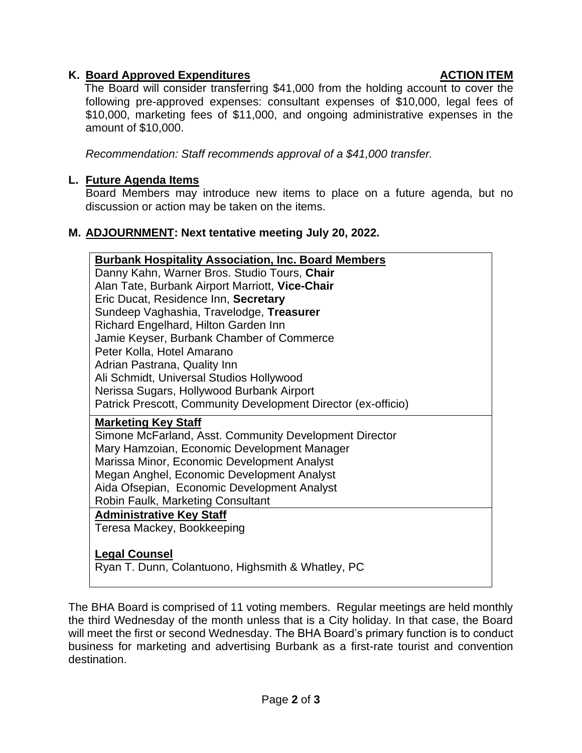# **K.** Board Approved Expenditures **ACTION ITEM**

The Board will consider transferring \$41,000 from the holding account to cover the following pre-approved expenses: consultant expenses of \$10,000, legal fees of \$10,000, marketing fees of \$11,000, and ongoing administrative expenses in the amount of \$10,000.

*Recommendation: Staff recommends approval of a \$41,000 transfer.*

# **L. Future Agenda Items**

Board Members may introduce new items to place on a future agenda, but no discussion or action may be taken on the items.

# **M. ADJOURNMENT: Next tentative meeting July 20, 2022.**

| <b>Burbank Hospitality Association, Inc. Board Members</b>                |
|---------------------------------------------------------------------------|
| Danny Kahn, Warner Bros. Studio Tours, Chair                              |
| Alan Tate, Burbank Airport Marriott, Vice-Chair                           |
| Eric Ducat, Residence Inn, Secretary                                      |
| Sundeep Vaghashia, Travelodge, Treasurer                                  |
| Richard Engelhard, Hilton Garden Inn                                      |
| Jamie Keyser, Burbank Chamber of Commerce                                 |
| Peter Kolla, Hotel Amarano                                                |
| Adrian Pastrana, Quality Inn                                              |
| Ali Schmidt, Universal Studios Hollywood                                  |
| Nerissa Sugars, Hollywood Burbank Airport                                 |
| Patrick Prescott, Community Development Director (ex-officio)             |
| <b>Marketing Key Staff</b>                                                |
|                                                                           |
| Simone McFarland, Asst. Community Development Director                    |
| Mary Hamzoian, Economic Development Manager                               |
| Marissa Minor, Economic Development Analyst                               |
| Megan Anghel, Economic Development Analyst                                |
| Aida Ofsepian, Economic Development Analyst                               |
| <b>Robin Faulk, Marketing Consultant</b>                                  |
| <b>Administrative Key Staff</b>                                           |
| Teresa Mackey, Bookkeeping                                                |
|                                                                           |
| <b>Legal Counsel</b><br>Ryan T. Dunn, Colantuono, Highsmith & Whatley, PC |

The BHA Board is comprised of 11 voting members. Regular meetings are held monthly the third Wednesday of the month unless that is a City holiday. In that case, the Board will meet the first or second Wednesday. The BHA Board's primary function is to conduct business for marketing and advertising Burbank as a first-rate tourist and convention destination.